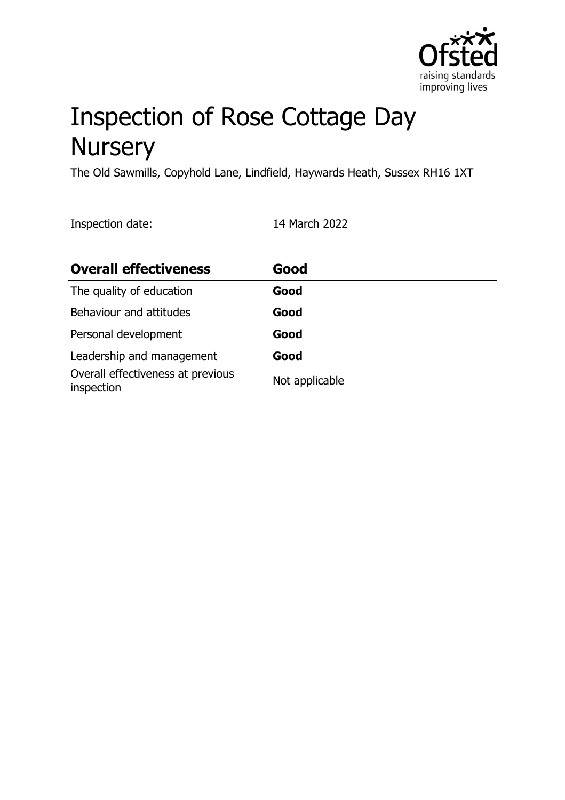

# Inspection of Rose Cottage Day **Nursery**

The Old Sawmills, Copyhold Lane, Lindfield, Haywards Heath, Sussex RH16 1XT

Inspection date: 14 March 2022

| <b>Overall effectiveness</b>                    | Good           |
|-------------------------------------------------|----------------|
| The quality of education                        | Good           |
| Behaviour and attitudes                         | Good           |
| Personal development                            | Good           |
| Leadership and management                       | Good           |
| Overall effectiveness at previous<br>inspection | Not applicable |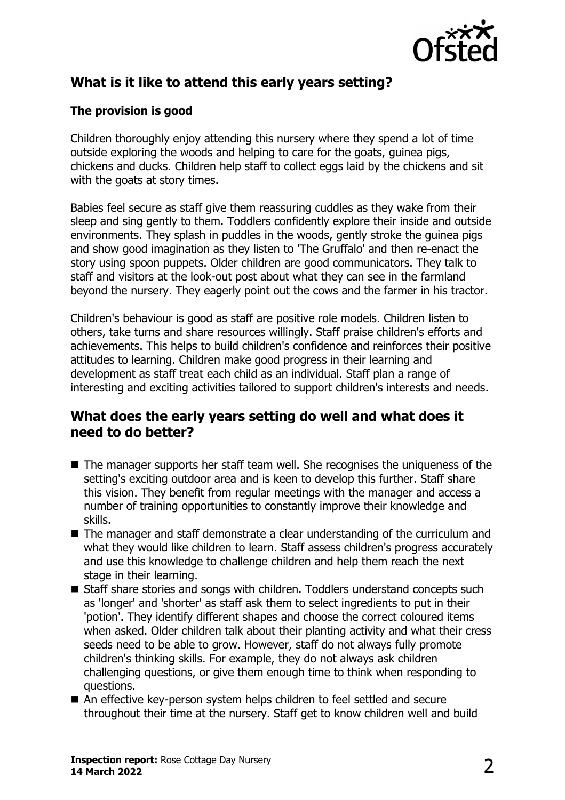

# **What is it like to attend this early years setting?**

#### **The provision is good**

Children thoroughly enjoy attending this nursery where they spend a lot of time outside exploring the woods and helping to care for the goats, guinea pigs, chickens and ducks. Children help staff to collect eggs laid by the chickens and sit with the goats at story times.

Babies feel secure as staff give them reassuring cuddles as they wake from their sleep and sing gently to them. Toddlers confidently explore their inside and outside environments. They splash in puddles in the woods, gently stroke the guinea pigs and show good imagination as they listen to 'The Gruffalo' and then re-enact the story using spoon puppets. Older children are good communicators. They talk to staff and visitors at the look-out post about what they can see in the farmland beyond the nursery. They eagerly point out the cows and the farmer in his tractor.

Children's behaviour is good as staff are positive role models. Children listen to others, take turns and share resources willingly. Staff praise children's efforts and achievements. This helps to build children's confidence and reinforces their positive attitudes to learning. Children make good progress in their learning and development as staff treat each child as an individual. Staff plan a range of interesting and exciting activities tailored to support children's interests and needs.

#### **What does the early years setting do well and what does it need to do better?**

- $\blacksquare$  The manager supports her staff team well. She recognises the uniqueness of the setting's exciting outdoor area and is keen to develop this further. Staff share this vision. They benefit from regular meetings with the manager and access a number of training opportunities to constantly improve their knowledge and skills.
- $\blacksquare$  The manager and staff demonstrate a clear understanding of the curriculum and what they would like children to learn. Staff assess children's progress accurately and use this knowledge to challenge children and help them reach the next stage in their learning.
- Staff share stories and songs with children. Toddlers understand concepts such as 'longer' and 'shorter' as staff ask them to select ingredients to put in their 'potion'. They identify different shapes and choose the correct coloured items when asked. Older children talk about their planting activity and what their cress seeds need to be able to grow. However, staff do not always fully promote children's thinking skills. For example, they do not always ask children challenging questions, or give them enough time to think when responding to questions.
- An effective key-person system helps children to feel settled and secure throughout their time at the nursery. Staff get to know children well and build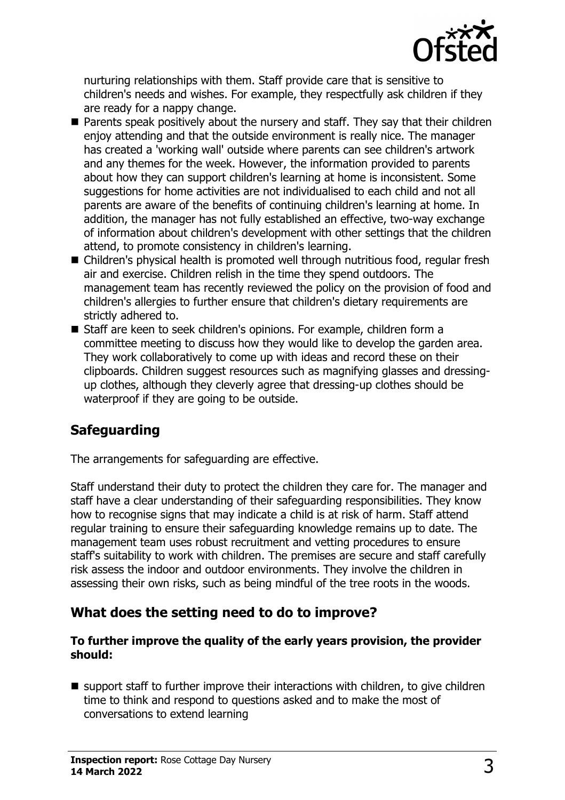

nurturing relationships with them. Staff provide care that is sensitive to children's needs and wishes. For example, they respectfully ask children if they are ready for a nappy change.

- $\blacksquare$  Parents speak positively about the nursery and staff. They say that their children enjoy attending and that the outside environment is really nice. The manager has created a 'working wall' outside where parents can see children's artwork and any themes for the week. However, the information provided to parents about how they can support children's learning at home is inconsistent. Some suggestions for home activities are not individualised to each child and not all parents are aware of the benefits of continuing children's learning at home. In addition, the manager has not fully established an effective, two-way exchange of information about children's development with other settings that the children attend, to promote consistency in children's learning.
- Children's physical health is promoted well through nutritious food, regular fresh air and exercise. Children relish in the time they spend outdoors. The management team has recently reviewed the policy on the provision of food and children's allergies to further ensure that children's dietary requirements are strictly adhered to.
- Staff are keen to seek children's opinions. For example, children form a committee meeting to discuss how they would like to develop the garden area. They work collaboratively to come up with ideas and record these on their clipboards. Children suggest resources such as magnifying glasses and dressingup clothes, although they cleverly agree that dressing-up clothes should be waterproof if they are going to be outside.

## **Safeguarding**

The arrangements for safeguarding are effective.

Staff understand their duty to protect the children they care for. The manager and staff have a clear understanding of their safeguarding responsibilities. They know how to recognise signs that may indicate a child is at risk of harm. Staff attend regular training to ensure their safeguarding knowledge remains up to date. The management team uses robust recruitment and vetting procedures to ensure staff's suitability to work with children. The premises are secure and staff carefully risk assess the indoor and outdoor environments. They involve the children in assessing their own risks, such as being mindful of the tree roots in the woods.

#### **What does the setting need to do to improve?**

#### **To further improve the quality of the early years provision, the provider should:**

 $\blacksquare$  support staff to further improve their interactions with children, to give children time to think and respond to questions asked and to make the most of conversations to extend learning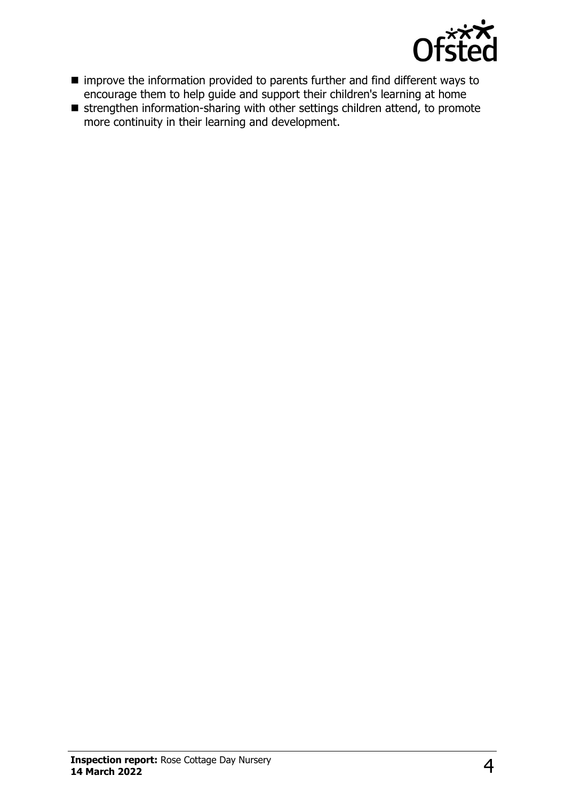

- improve the information provided to parents further and find different ways to encourage them to help guide and support their children's learning at home
- strengthen information-sharing with other settings children attend, to promote more continuity in their learning and development.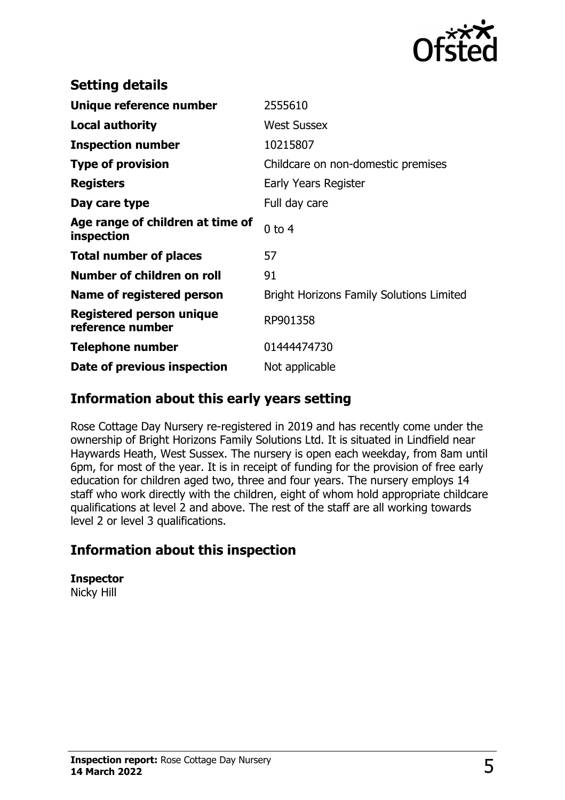

| <b>Setting details</b>                              |                                                 |
|-----------------------------------------------------|-------------------------------------------------|
| Unique reference number                             | 2555610                                         |
| <b>Local authority</b>                              | <b>West Sussex</b>                              |
| <b>Inspection number</b>                            | 10215807                                        |
| <b>Type of provision</b>                            | Childcare on non-domestic premises              |
| <b>Registers</b>                                    | Early Years Register                            |
| Day care type                                       | Full day care                                   |
| Age range of children at time of<br>inspection      | $0$ to $4$                                      |
| <b>Total number of places</b>                       | 57                                              |
| Number of children on roll                          | 91                                              |
| Name of registered person                           | <b>Bright Horizons Family Solutions Limited</b> |
| <b>Registered person unique</b><br>reference number | RP901358                                        |
| <b>Telephone number</b>                             | 01444474730                                     |
| Date of previous inspection                         | Not applicable                                  |

#### **Information about this early years setting**

Rose Cottage Day Nursery re-registered in 2019 and has recently come under the ownership of Bright Horizons Family Solutions Ltd. It is situated in Lindfield near Haywards Heath, West Sussex. The nursery is open each weekday, from 8am until 6pm, for most of the year. It is in receipt of funding for the provision of free early education for children aged two, three and four years. The nursery employs 14 staff who work directly with the children, eight of whom hold appropriate childcare qualifications at level 2 and above. The rest of the staff are all working towards level 2 or level 3 qualifications.

## **Information about this inspection**

**Inspector**

Nicky Hill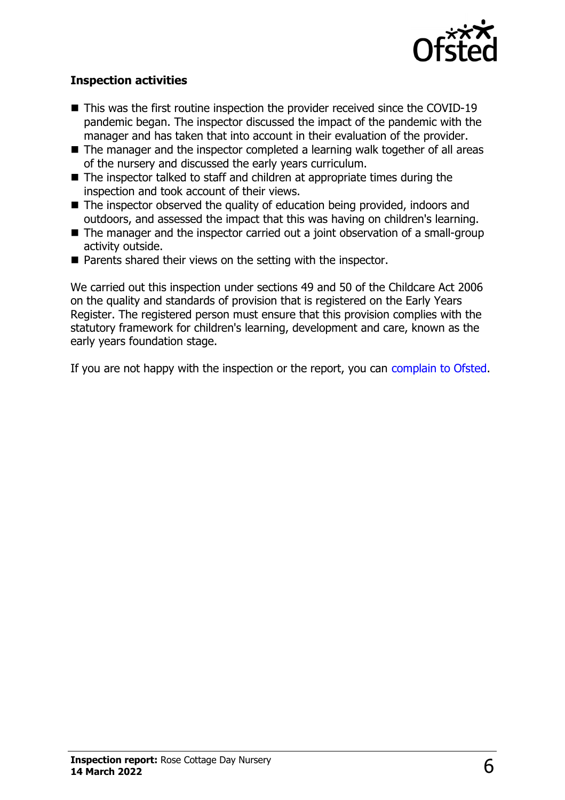

#### **Inspection activities**

- $\blacksquare$  This was the first routine inspection the provider received since the COVID-19 pandemic began. The inspector discussed the impact of the pandemic with the manager and has taken that into account in their evaluation of the provider.
- $\blacksquare$  The manager and the inspector completed a learning walk together of all areas of the nursery and discussed the early years curriculum.
- $\blacksquare$  The inspector talked to staff and children at appropriate times during the inspection and took account of their views.
- $\blacksquare$  The inspector observed the quality of education being provided, indoors and outdoors, and assessed the impact that this was having on children's learning.
- $\blacksquare$  The manager and the inspector carried out a joint observation of a small-group activity outside.
- $\blacksquare$  Parents shared their views on the setting with the inspector.

We carried out this inspection under sections 49 and 50 of the Childcare Act 2006 on the quality and standards of provision that is registered on the Early Years Register. The registered person must ensure that this provision complies with the statutory framework for children's learning, development and care, known as the early years foundation stage.

If you are not happy with the inspection or the report, you can [complain to Ofsted](http://www.gov.uk/complain-ofsted-report).